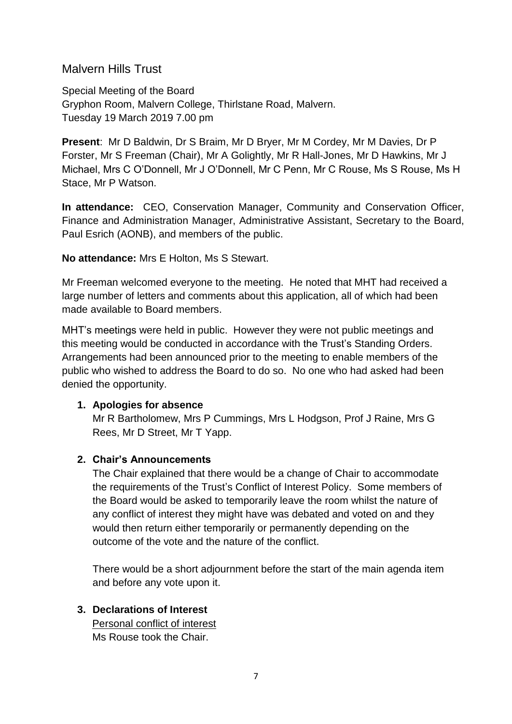# Malvern Hills Trust

Special Meeting of the Board Gryphon Room, Malvern College, Thirlstane Road, Malvern. Tuesday 19 March 2019 7.00 pm

**Present**: Mr D Baldwin, Dr S Braim, Mr D Bryer, Mr M Cordey, Mr M Davies, Dr P Forster, Mr S Freeman (Chair), Mr A Golightly, Mr R Hall-Jones, Mr D Hawkins, Mr J Michael, Mrs C O'Donnell, Mr J O'Donnell, Mr C Penn, Mr C Rouse, Ms S Rouse, Ms H Stace, Mr P Watson.

**In attendance:** CEO, Conservation Manager, Community and Conservation Officer, Finance and Administration Manager, Administrative Assistant, Secretary to the Board, Paul Esrich (AONB), and members of the public.

**No attendance:** Mrs E Holton, Ms S Stewart.

Mr Freeman welcomed everyone to the meeting. He noted that MHT had received a large number of letters and comments about this application, all of which had been made available to Board members.

MHT's meetings were held in public. However they were not public meetings and this meeting would be conducted in accordance with the Trust's Standing Orders. Arrangements had been announced prior to the meeting to enable members of the public who wished to address the Board to do so. No one who had asked had been denied the opportunity.

## **1. Apologies for absence**

Mr R Bartholomew, Mrs P Cummings, Mrs L Hodgson, Prof J Raine, Mrs G Rees, Mr D Street, Mr T Yapp.

## **2. Chair's Announcements**

The Chair explained that there would be a change of Chair to accommodate the requirements of the Trust's Conflict of Interest Policy. Some members of the Board would be asked to temporarily leave the room whilst the nature of any conflict of interest they might have was debated and voted on and they would then return either temporarily or permanently depending on the outcome of the vote and the nature of the conflict.

There would be a short adjournment before the start of the main agenda item and before any vote upon it.

## **3. Declarations of Interest**

Personal conflict of interest Ms Rouse took the Chair.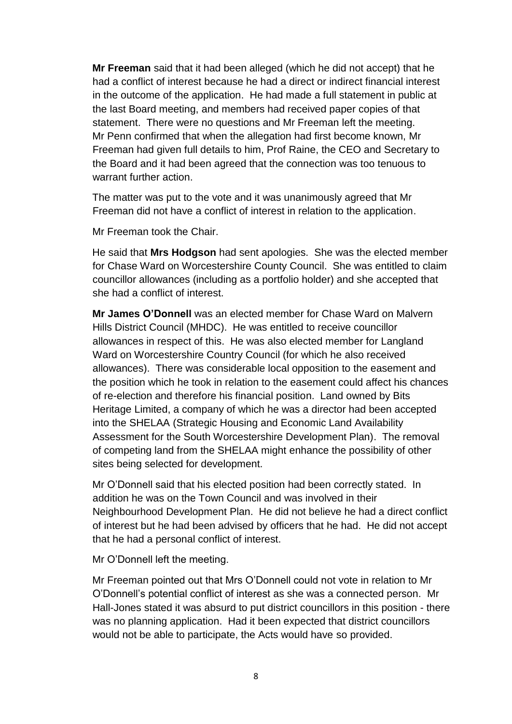**Mr Freeman** said that it had been alleged (which he did not accept) that he had a conflict of interest because he had a direct or indirect financial interest in the outcome of the application. He had made a full statement in public at the last Board meeting, and members had received paper copies of that statement. There were no questions and Mr Freeman left the meeting. Mr Penn confirmed that when the allegation had first become known, Mr Freeman had given full details to him, Prof Raine, the CEO and Secretary to the Board and it had been agreed that the connection was too tenuous to warrant further action.

The matter was put to the vote and it was unanimously agreed that Mr Freeman did not have a conflict of interest in relation to the application.

Mr Freeman took the Chair.

He said that **Mrs Hodgson** had sent apologies. She was the elected member for Chase Ward on Worcestershire County Council. She was entitled to claim councillor allowances (including as a portfolio holder) and she accepted that she had a conflict of interest.

**Mr James O'Donnell** was an elected member for Chase Ward on Malvern Hills District Council (MHDC). He was entitled to receive councillor allowances in respect of this. He was also elected member for Langland Ward on Worcestershire Country Council (for which he also received allowances). There was considerable local opposition to the easement and the position which he took in relation to the easement could affect his chances of re-election and therefore his financial position. Land owned by Bits Heritage Limited, a company of which he was a director had been accepted into the SHELAA (Strategic Housing and Economic Land Availability Assessment for the South Worcestershire Development Plan). The removal of competing land from the SHELAA might enhance the possibility of other sites being selected for development.

Mr O'Donnell said that his elected position had been correctly stated. In addition he was on the Town Council and was involved in their Neighbourhood Development Plan. He did not believe he had a direct conflict of interest but he had been advised by officers that he had. He did not accept that he had a personal conflict of interest.

Mr O'Donnell left the meeting.

Mr Freeman pointed out that Mrs O'Donnell could not vote in relation to Mr O'Donnell's potential conflict of interest as she was a connected person. Mr Hall-Jones stated it was absurd to put district councillors in this position - there was no planning application. Had it been expected that district councillors would not be able to participate, the Acts would have so provided.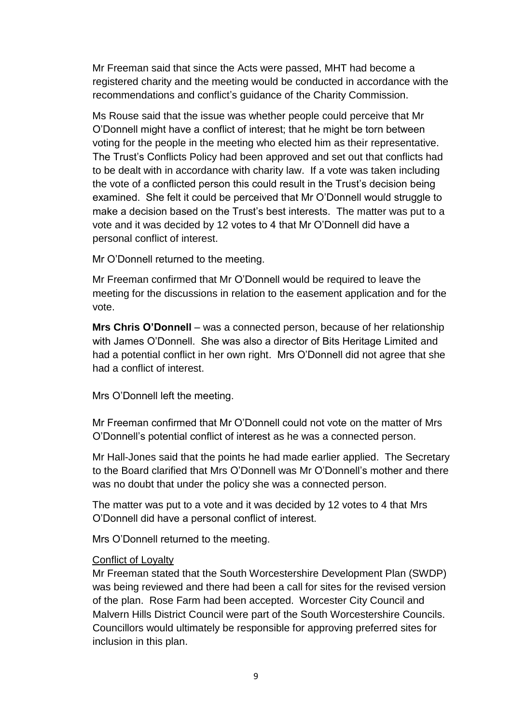Mr Freeman said that since the Acts were passed, MHT had become a registered charity and the meeting would be conducted in accordance with the recommendations and conflict's guidance of the Charity Commission.

Ms Rouse said that the issue was whether people could perceive that Mr O'Donnell might have a conflict of interest; that he might be torn between voting for the people in the meeting who elected him as their representative. The Trust's Conflicts Policy had been approved and set out that conflicts had to be dealt with in accordance with charity law. If a vote was taken including the vote of a conflicted person this could result in the Trust's decision being examined. She felt it could be perceived that Mr O'Donnell would struggle to make a decision based on the Trust's best interests. The matter was put to a vote and it was decided by 12 votes to 4 that Mr O'Donnell did have a personal conflict of interest.

Mr O'Donnell returned to the meeting.

Mr Freeman confirmed that Mr O'Donnell would be required to leave the meeting for the discussions in relation to the easement application and for the vote.

**Mrs Chris O'Donnell** – was a connected person, because of her relationship with James O'Donnell. She was also a director of Bits Heritage Limited and had a potential conflict in her own right. Mrs O'Donnell did not agree that she had a conflict of interest.

Mrs O'Donnell left the meeting.

Mr Freeman confirmed that Mr O'Donnell could not vote on the matter of Mrs O'Donnell's potential conflict of interest as he was a connected person.

Mr Hall-Jones said that the points he had made earlier applied. The Secretary to the Board clarified that Mrs O'Donnell was Mr O'Donnell's mother and there was no doubt that under the policy she was a connected person.

The matter was put to a vote and it was decided by 12 votes to 4 that Mrs O'Donnell did have a personal conflict of interest.

Mrs O'Donnell returned to the meeting.

### Conflict of Loyalty

Mr Freeman stated that the South Worcestershire Development Plan (SWDP) was being reviewed and there had been a call for sites for the revised version of the plan. Rose Farm had been accepted. Worcester City Council and Malvern Hills District Council were part of the South Worcestershire Councils. Councillors would ultimately be responsible for approving preferred sites for inclusion in this plan.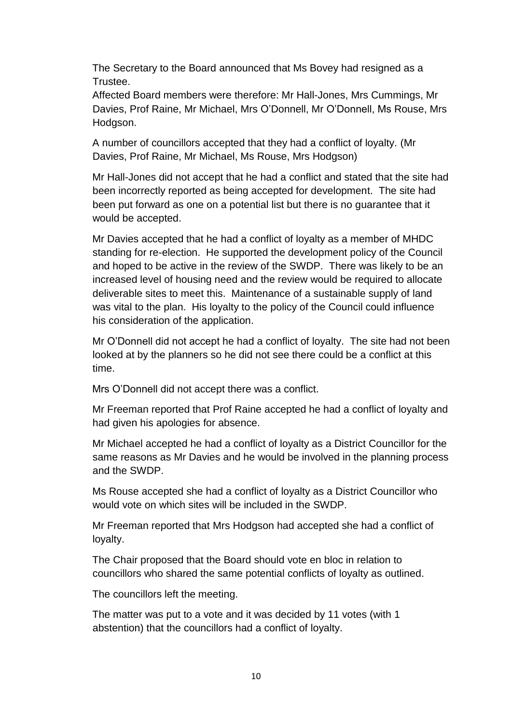The Secretary to the Board announced that Ms Bovey had resigned as a Trustee.

Affected Board members were therefore: Mr Hall-Jones, Mrs Cummings, Mr Davies, Prof Raine, Mr Michael, Mrs O'Donnell, Mr O'Donnell, Ms Rouse, Mrs Hodgson.

A number of councillors accepted that they had a conflict of loyalty. (Mr Davies, Prof Raine, Mr Michael, Ms Rouse, Mrs Hodgson)

Mr Hall-Jones did not accept that he had a conflict and stated that the site had been incorrectly reported as being accepted for development. The site had been put forward as one on a potential list but there is no guarantee that it would be accepted.

Mr Davies accepted that he had a conflict of loyalty as a member of MHDC standing for re-election. He supported the development policy of the Council and hoped to be active in the review of the SWDP. There was likely to be an increased level of housing need and the review would be required to allocate deliverable sites to meet this. Maintenance of a sustainable supply of land was vital to the plan. His loyalty to the policy of the Council could influence his consideration of the application.

Mr O'Donnell did not accept he had a conflict of loyalty. The site had not been looked at by the planners so he did not see there could be a conflict at this time.

Mrs O'Donnell did not accept there was a conflict.

Mr Freeman reported that Prof Raine accepted he had a conflict of loyalty and had given his apologies for absence.

Mr Michael accepted he had a conflict of loyalty as a District Councillor for the same reasons as Mr Davies and he would be involved in the planning process and the SWDP.

Ms Rouse accepted she had a conflict of loyalty as a District Councillor who would vote on which sites will be included in the SWDP.

Mr Freeman reported that Mrs Hodgson had accepted she had a conflict of loyalty.

The Chair proposed that the Board should vote en bloc in relation to councillors who shared the same potential conflicts of loyalty as outlined.

The councillors left the meeting.

The matter was put to a vote and it was decided by 11 votes (with 1 abstention) that the councillors had a conflict of loyalty.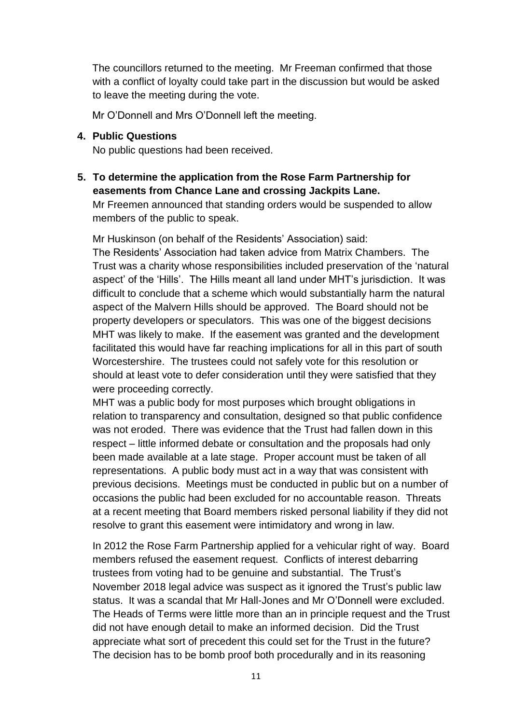The councillors returned to the meeting. Mr Freeman confirmed that those with a conflict of loyalty could take part in the discussion but would be asked to leave the meeting during the vote.

Mr O'Donnell and Mrs O'Donnell left the meeting.

### **4. Public Questions**

No public questions had been received.

**5. To determine the application from the Rose Farm Partnership for easements from Chance Lane and crossing Jackpits Lane.**

Mr Freemen announced that standing orders would be suspended to allow members of the public to speak.

Mr Huskinson (on behalf of the Residents' Association) said: The Residents' Association had taken advice from Matrix Chambers. The Trust was a charity whose responsibilities included preservation of the 'natural aspect' of the 'Hills'. The Hills meant all land under MHT's jurisdiction. It was difficult to conclude that a scheme which would substantially harm the natural aspect of the Malvern Hills should be approved. The Board should not be property developers or speculators. This was one of the biggest decisions MHT was likely to make. If the easement was granted and the development facilitated this would have far reaching implications for all in this part of south Worcestershire. The trustees could not safely vote for this resolution or should at least vote to defer consideration until they were satisfied that they were proceeding correctly.

MHT was a public body for most purposes which brought obligations in relation to transparency and consultation, designed so that public confidence was not eroded. There was evidence that the Trust had fallen down in this respect – little informed debate or consultation and the proposals had only been made available at a late stage. Proper account must be taken of all representations. A public body must act in a way that was consistent with previous decisions. Meetings must be conducted in public but on a number of occasions the public had been excluded for no accountable reason. Threats at a recent meeting that Board members risked personal liability if they did not resolve to grant this easement were intimidatory and wrong in law.

In 2012 the Rose Farm Partnership applied for a vehicular right of way. Board members refused the easement request. Conflicts of interest debarring trustees from voting had to be genuine and substantial. The Trust's November 2018 legal advice was suspect as it ignored the Trust's public law status. It was a scandal that Mr Hall-Jones and Mr O'Donnell were excluded. The Heads of Terms were little more than an in principle request and the Trust did not have enough detail to make an informed decision. Did the Trust appreciate what sort of precedent this could set for the Trust in the future? The decision has to be bomb proof both procedurally and in its reasoning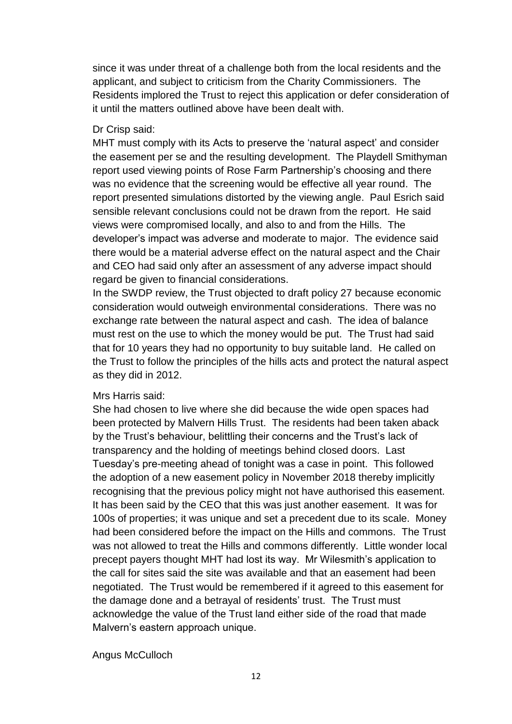since it was under threat of a challenge both from the local residents and the applicant, and subject to criticism from the Charity Commissioners. The Residents implored the Trust to reject this application or defer consideration of it until the matters outlined above have been dealt with.

#### Dr Crisp said:

MHT must comply with its Acts to preserve the 'natural aspect' and consider the easement per se and the resulting development. The Playdell Smithyman report used viewing points of Rose Farm Partnership's choosing and there was no evidence that the screening would be effective all year round. The report presented simulations distorted by the viewing angle. Paul Esrich said sensible relevant conclusions could not be drawn from the report. He said views were compromised locally, and also to and from the Hills. The developer's impact was adverse and moderate to major. The evidence said there would be a material adverse effect on the natural aspect and the Chair and CEO had said only after an assessment of any adverse impact should regard be given to financial considerations.

In the SWDP review, the Trust objected to draft policy 27 because economic consideration would outweigh environmental considerations. There was no exchange rate between the natural aspect and cash. The idea of balance must rest on the use to which the money would be put. The Trust had said that for 10 years they had no opportunity to buy suitable land. He called on the Trust to follow the principles of the hills acts and protect the natural aspect as they did in 2012.

### Mrs Harris said:

She had chosen to live where she did because the wide open spaces had been protected by Malvern Hills Trust. The residents had been taken aback by the Trust's behaviour, belittling their concerns and the Trust's lack of transparency and the holding of meetings behind closed doors. Last Tuesday's pre-meeting ahead of tonight was a case in point. This followed the adoption of a new easement policy in November 2018 thereby implicitly recognising that the previous policy might not have authorised this easement. It has been said by the CEO that this was just another easement. It was for 100s of properties; it was unique and set a precedent due to its scale. Money had been considered before the impact on the Hills and commons. The Trust was not allowed to treat the Hills and commons differently. Little wonder local precept payers thought MHT had lost its way. Mr Wilesmith's application to the call for sites said the site was available and that an easement had been negotiated. The Trust would be remembered if it agreed to this easement for the damage done and a betrayal of residents' trust. The Trust must acknowledge the value of the Trust land either side of the road that made Malvern's eastern approach unique.

### Angus McCulloch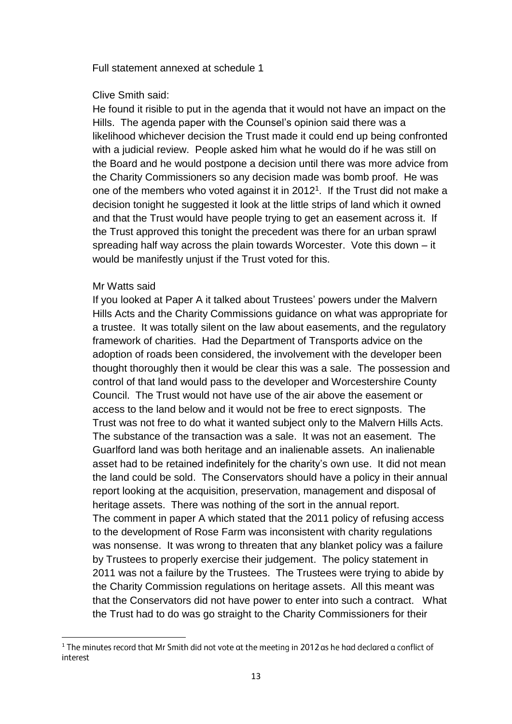Full statement annexed at schedule 1

#### Clive Smith said:

He found it risible to put in the agenda that it would not have an impact on the Hills. The agenda paper with the Counsel's opinion said there was a likelihood whichever decision the Trust made it could end up being confronted with a judicial review. People asked him what he would do if he was still on the Board and he would postpone a decision until there was more advice from the Charity Commissioners so any decision made was bomb proof. He was one of the members who voted against it in  $2012<sup>1</sup>$ . If the Trust did not make a decision tonight he suggested it look at the little strips of land which it owned and that the Trust would have people trying to get an easement across it. If the Trust approved this tonight the precedent was there for an urban sprawl spreading half way across the plain towards Worcester. Vote this down – it would be manifestly unjust if the Trust voted for this.

#### Mr Watts said

**.** 

If you looked at Paper A it talked about Trustees' powers under the Malvern Hills Acts and the Charity Commissions guidance on what was appropriate for a trustee. It was totally silent on the law about easements, and the regulatory framework of charities. Had the Department of Transports advice on the adoption of roads been considered, the involvement with the developer been thought thoroughly then it would be clear this was a sale. The possession and control of that land would pass to the developer and Worcestershire County Council. The Trust would not have use of the air above the easement or access to the land below and it would not be free to erect signposts. The Trust was not free to do what it wanted subject only to the Malvern Hills Acts. The substance of the transaction was a sale. It was not an easement. The Guarlford land was both heritage and an inalienable assets. An inalienable asset had to be retained indefinitely for the charity's own use. It did not mean the land could be sold. The Conservators should have a policy in their annual report looking at the acquisition, preservation, management and disposal of heritage assets. There was nothing of the sort in the annual report. The comment in paper A which stated that the 2011 policy of refusing access to the development of Rose Farm was inconsistent with charity regulations was nonsense. It was wrong to threaten that any blanket policy was a failure by Trustees to properly exercise their judgement. The policy statement in 2011 was not a failure by the Trustees. The Trustees were trying to abide by the Charity Commission regulations on heritage assets. All this meant was that the Conservators did not have power to enter into such a contract. What the Trust had to do was go straight to the Charity Commissioners for their

<sup>&</sup>lt;sup>1</sup> The minutes record that Mr Smith did not vote at the meeting in 2012 as he had declared a conflict of interest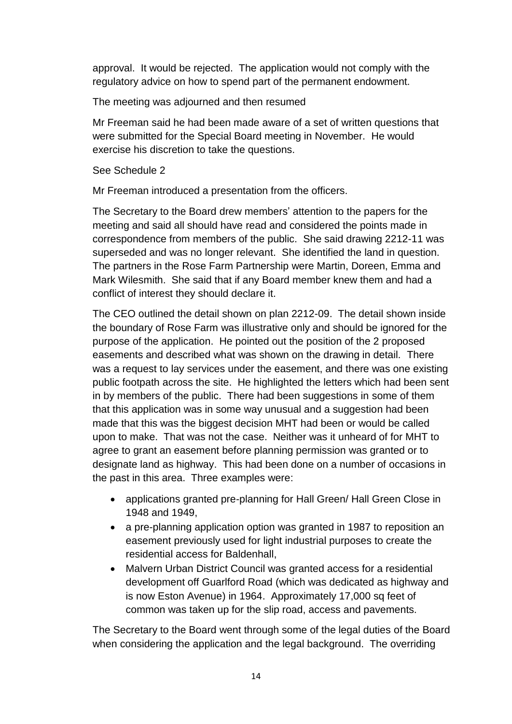approval. It would be rejected. The application would not comply with the regulatory advice on how to spend part of the permanent endowment.

The meeting was adjourned and then resumed

Mr Freeman said he had been made aware of a set of written questions that were submitted for the Special Board meeting in November. He would exercise his discretion to take the questions.

See Schedule 2

Mr Freeman introduced a presentation from the officers.

The Secretary to the Board drew members' attention to the papers for the meeting and said all should have read and considered the points made in correspondence from members of the public. She said drawing 2212-11 was superseded and was no longer relevant. She identified the land in question. The partners in the Rose Farm Partnership were Martin, Doreen, Emma and Mark Wilesmith. She said that if any Board member knew them and had a conflict of interest they should declare it.

The CEO outlined the detail shown on plan 2212-09. The detail shown inside the boundary of Rose Farm was illustrative only and should be ignored for the purpose of the application. He pointed out the position of the 2 proposed easements and described what was shown on the drawing in detail. There was a request to lay services under the easement, and there was one existing public footpath across the site. He highlighted the letters which had been sent in by members of the public. There had been suggestions in some of them that this application was in some way unusual and a suggestion had been made that this was the biggest decision MHT had been or would be called upon to make. That was not the case. Neither was it unheard of for MHT to agree to grant an easement before planning permission was granted or to designate land as highway. This had been done on a number of occasions in the past in this area. Three examples were:

- applications granted pre-planning for Hall Green/ Hall Green Close in 1948 and 1949,
- a pre-planning application option was granted in 1987 to reposition an easement previously used for light industrial purposes to create the residential access for Baldenhall,
- Malvern Urban District Council was granted access for a residential development off Guarlford Road (which was dedicated as highway and is now Eston Avenue) in 1964. Approximately 17,000 sq feet of common was taken up for the slip road, access and pavements.

The Secretary to the Board went through some of the legal duties of the Board when considering the application and the legal background. The overriding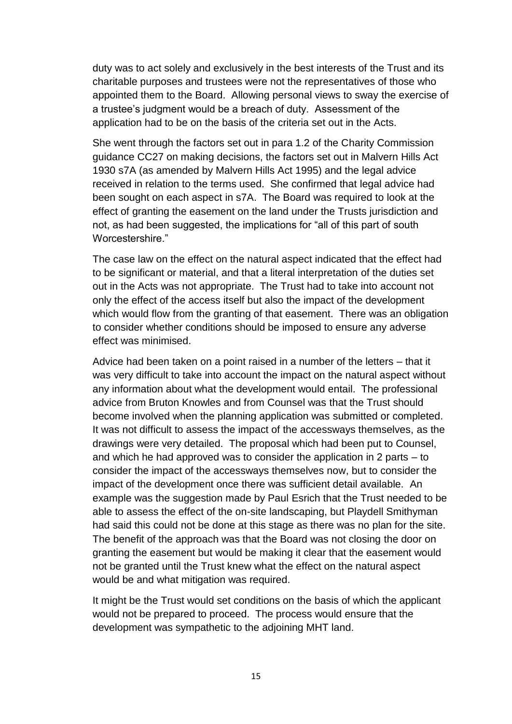duty was to act solely and exclusively in the best interests of the Trust and its charitable purposes and trustees were not the representatives of those who appointed them to the Board. Allowing personal views to sway the exercise of a trustee's judgment would be a breach of duty. Assessment of the application had to be on the basis of the criteria set out in the Acts.

She went through the factors set out in para 1.2 of the Charity Commission guidance CC27 on making decisions, the factors set out in Malvern Hills Act 1930 s7A (as amended by Malvern Hills Act 1995) and the legal advice received in relation to the terms used. She confirmed that legal advice had been sought on each aspect in s7A. The Board was required to look at the effect of granting the easement on the land under the Trusts jurisdiction and not, as had been suggested, the implications for "all of this part of south Worcestershire."

The case law on the effect on the natural aspect indicated that the effect had to be significant or material, and that a literal interpretation of the duties set out in the Acts was not appropriate. The Trust had to take into account not only the effect of the access itself but also the impact of the development which would flow from the granting of that easement. There was an obligation to consider whether conditions should be imposed to ensure any adverse effect was minimised.

Advice had been taken on a point raised in a number of the letters – that it was very difficult to take into account the impact on the natural aspect without any information about what the development would entail. The professional advice from Bruton Knowles and from Counsel was that the Trust should become involved when the planning application was submitted or completed. It was not difficult to assess the impact of the accessways themselves, as the drawings were very detailed. The proposal which had been put to Counsel, and which he had approved was to consider the application in 2 parts – to consider the impact of the accessways themselves now, but to consider the impact of the development once there was sufficient detail available. An example was the suggestion made by Paul Esrich that the Trust needed to be able to assess the effect of the on-site landscaping, but Playdell Smithyman had said this could not be done at this stage as there was no plan for the site. The benefit of the approach was that the Board was not closing the door on granting the easement but would be making it clear that the easement would not be granted until the Trust knew what the effect on the natural aspect would be and what mitigation was required.

It might be the Trust would set conditions on the basis of which the applicant would not be prepared to proceed. The process would ensure that the development was sympathetic to the adjoining MHT land.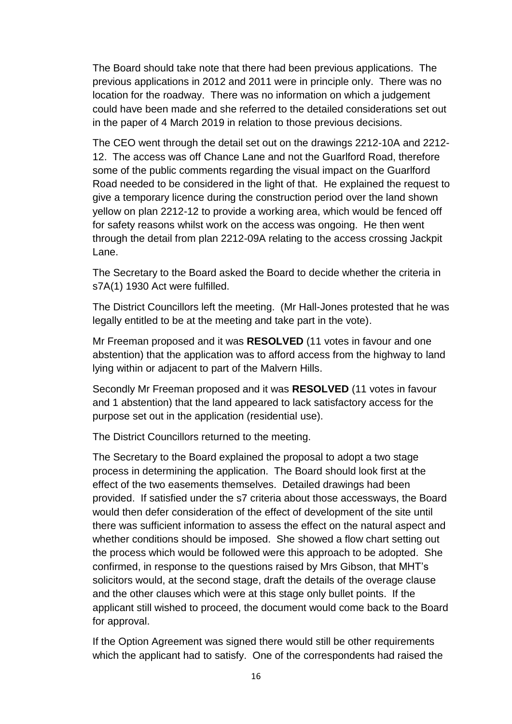The Board should take note that there had been previous applications. The previous applications in 2012 and 2011 were in principle only. There was no location for the roadway. There was no information on which a judgement could have been made and she referred to the detailed considerations set out in the paper of 4 March 2019 in relation to those previous decisions.

The CEO went through the detail set out on the drawings 2212-10A and 2212- 12. The access was off Chance Lane and not the Guarlford Road, therefore some of the public comments regarding the visual impact on the Guarlford Road needed to be considered in the light of that. He explained the request to give a temporary licence during the construction period over the land shown yellow on plan 2212-12 to provide a working area, which would be fenced off for safety reasons whilst work on the access was ongoing. He then went through the detail from plan 2212-09A relating to the access crossing Jackpit Lane.

The Secretary to the Board asked the Board to decide whether the criteria in s7A(1) 1930 Act were fulfilled.

The District Councillors left the meeting. (Mr Hall-Jones protested that he was legally entitled to be at the meeting and take part in the vote).

Mr Freeman proposed and it was **RESOLVED** (11 votes in favour and one abstention) that the application was to afford access from the highway to land lying within or adjacent to part of the Malvern Hills.

Secondly Mr Freeman proposed and it was **RESOLVED** (11 votes in favour and 1 abstention) that the land appeared to lack satisfactory access for the purpose set out in the application (residential use).

The District Councillors returned to the meeting.

The Secretary to the Board explained the proposal to adopt a two stage process in determining the application. The Board should look first at the effect of the two easements themselves. Detailed drawings had been provided. If satisfied under the s7 criteria about those accessways, the Board would then defer consideration of the effect of development of the site until there was sufficient information to assess the effect on the natural aspect and whether conditions should be imposed. She showed a flow chart setting out the process which would be followed were this approach to be adopted. She confirmed, in response to the questions raised by Mrs Gibson, that MHT's solicitors would, at the second stage, draft the details of the overage clause and the other clauses which were at this stage only bullet points. If the applicant still wished to proceed, the document would come back to the Board for approval.

If the Option Agreement was signed there would still be other requirements which the applicant had to satisfy. One of the correspondents had raised the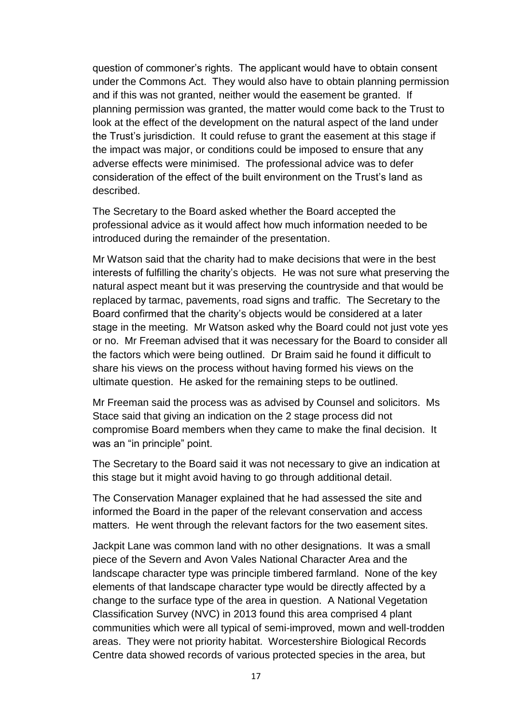question of commoner's rights. The applicant would have to obtain consent under the Commons Act. They would also have to obtain planning permission and if this was not granted, neither would the easement be granted. If planning permission was granted, the matter would come back to the Trust to look at the effect of the development on the natural aspect of the land under the Trust's jurisdiction. It could refuse to grant the easement at this stage if the impact was major, or conditions could be imposed to ensure that any adverse effects were minimised. The professional advice was to defer consideration of the effect of the built environment on the Trust's land as described.

The Secretary to the Board asked whether the Board accepted the professional advice as it would affect how much information needed to be introduced during the remainder of the presentation.

Mr Watson said that the charity had to make decisions that were in the best interests of fulfilling the charity's objects. He was not sure what preserving the natural aspect meant but it was preserving the countryside and that would be replaced by tarmac, pavements, road signs and traffic. The Secretary to the Board confirmed that the charity's objects would be considered at a later stage in the meeting. Mr Watson asked why the Board could not just vote yes or no. Mr Freeman advised that it was necessary for the Board to consider all the factors which were being outlined. Dr Braim said he found it difficult to share his views on the process without having formed his views on the ultimate question. He asked for the remaining steps to be outlined.

Mr Freeman said the process was as advised by Counsel and solicitors. Ms Stace said that giving an indication on the 2 stage process did not compromise Board members when they came to make the final decision. It was an "in principle" point.

The Secretary to the Board said it was not necessary to give an indication at this stage but it might avoid having to go through additional detail.

The Conservation Manager explained that he had assessed the site and informed the Board in the paper of the relevant conservation and access matters. He went through the relevant factors for the two easement sites.

Jackpit Lane was common land with no other designations. It was a small piece of the Severn and Avon Vales National Character Area and the landscape character type was principle timbered farmland. None of the key elements of that landscape character type would be directly affected by a change to the surface type of the area in question. A National Vegetation Classification Survey (NVC) in 2013 found this area comprised 4 plant communities which were all typical of semi-improved, mown and well-trodden areas. They were not priority habitat. Worcestershire Biological Records Centre data showed records of various protected species in the area, but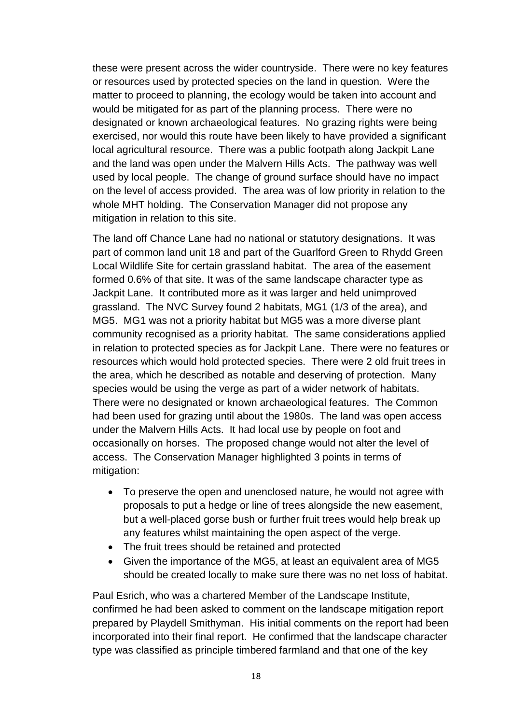these were present across the wider countryside. There were no key features or resources used by protected species on the land in question. Were the matter to proceed to planning, the ecology would be taken into account and would be mitigated for as part of the planning process. There were no designated or known archaeological features. No grazing rights were being exercised, nor would this route have been likely to have provided a significant local agricultural resource. There was a public footpath along Jackpit Lane and the land was open under the Malvern Hills Acts. The pathway was well used by local people. The change of ground surface should have no impact on the level of access provided. The area was of low priority in relation to the whole MHT holding. The Conservation Manager did not propose any mitigation in relation to this site.

The land off Chance Lane had no national or statutory designations. It was part of common land unit 18 and part of the Guarlford Green to Rhydd Green Local Wildlife Site for certain grassland habitat. The area of the easement formed 0.6% of that site. It was of the same landscape character type as Jackpit Lane. It contributed more as it was larger and held unimproved grassland. The NVC Survey found 2 habitats, MG1 (1/3 of the area), and MG5. MG1 was not a priority habitat but MG5 was a more diverse plant community recognised as a priority habitat. The same considerations applied in relation to protected species as for Jackpit Lane. There were no features or resources which would hold protected species. There were 2 old fruit trees in the area, which he described as notable and deserving of protection. Many species would be using the verge as part of a wider network of habitats. There were no designated or known archaeological features. The Common had been used for grazing until about the 1980s. The land was open access under the Malvern Hills Acts. It had local use by people on foot and occasionally on horses. The proposed change would not alter the level of access. The Conservation Manager highlighted 3 points in terms of mitigation:

- To preserve the open and unenclosed nature, he would not agree with proposals to put a hedge or line of trees alongside the new easement, but a well-placed gorse bush or further fruit trees would help break up any features whilst maintaining the open aspect of the verge.
- The fruit trees should be retained and protected
- Given the importance of the MG5, at least an equivalent area of MG5 should be created locally to make sure there was no net loss of habitat.

Paul Esrich, who was a chartered Member of the Landscape Institute, confirmed he had been asked to comment on the landscape mitigation report prepared by Playdell Smithyman. His initial comments on the report had been incorporated into their final report. He confirmed that the landscape character type was classified as principle timbered farmland and that one of the key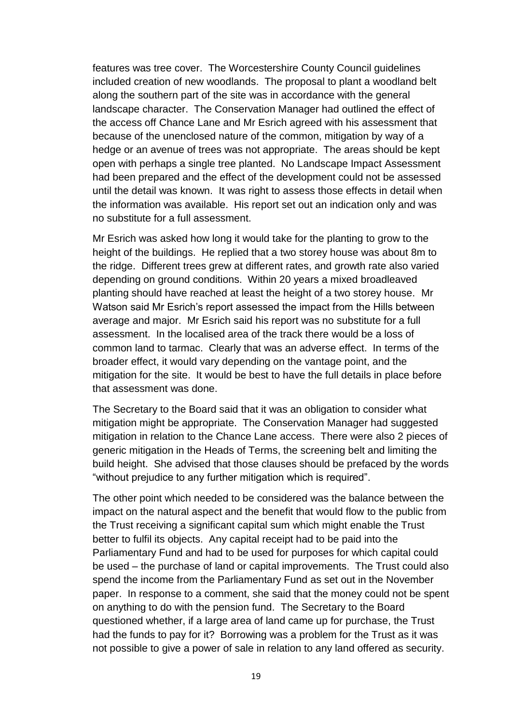features was tree cover. The Worcestershire County Council guidelines included creation of new woodlands. The proposal to plant a woodland belt along the southern part of the site was in accordance with the general landscape character. The Conservation Manager had outlined the effect of the access off Chance Lane and Mr Esrich agreed with his assessment that because of the unenclosed nature of the common, mitigation by way of a hedge or an avenue of trees was not appropriate. The areas should be kept open with perhaps a single tree planted. No Landscape Impact Assessment had been prepared and the effect of the development could not be assessed until the detail was known. It was right to assess those effects in detail when the information was available. His report set out an indication only and was no substitute for a full assessment.

Mr Esrich was asked how long it would take for the planting to grow to the height of the buildings. He replied that a two storey house was about 8m to the ridge. Different trees grew at different rates, and growth rate also varied depending on ground conditions. Within 20 years a mixed broadleaved planting should have reached at least the height of a two storey house. Mr Watson said Mr Esrich's report assessed the impact from the Hills between average and major. Mr Esrich said his report was no substitute for a full assessment. In the localised area of the track there would be a loss of common land to tarmac. Clearly that was an adverse effect. In terms of the broader effect, it would vary depending on the vantage point, and the mitigation for the site. It would be best to have the full details in place before that assessment was done.

The Secretary to the Board said that it was an obligation to consider what mitigation might be appropriate. The Conservation Manager had suggested mitigation in relation to the Chance Lane access. There were also 2 pieces of generic mitigation in the Heads of Terms, the screening belt and limiting the build height. She advised that those clauses should be prefaced by the words "without prejudice to any further mitigation which is required".

The other point which needed to be considered was the balance between the impact on the natural aspect and the benefit that would flow to the public from the Trust receiving a significant capital sum which might enable the Trust better to fulfil its objects. Any capital receipt had to be paid into the Parliamentary Fund and had to be used for purposes for which capital could be used – the purchase of land or capital improvements. The Trust could also spend the income from the Parliamentary Fund as set out in the November paper. In response to a comment, she said that the money could not be spent on anything to do with the pension fund. The Secretary to the Board questioned whether, if a large area of land came up for purchase, the Trust had the funds to pay for it? Borrowing was a problem for the Trust as it was not possible to give a power of sale in relation to any land offered as security.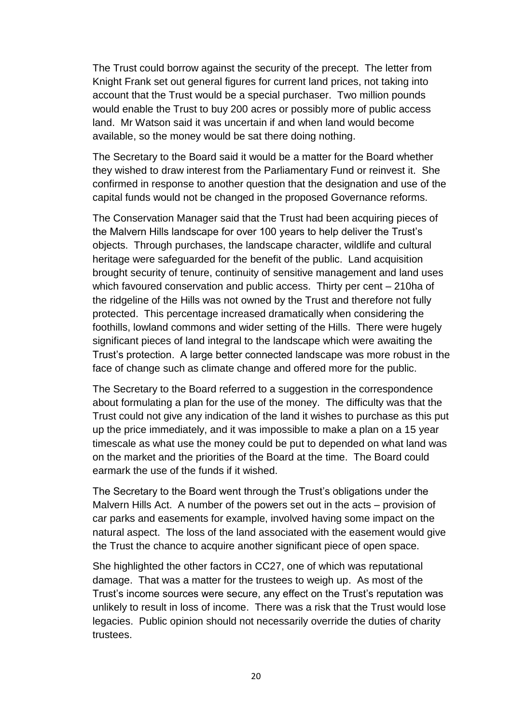The Trust could borrow against the security of the precept. The letter from Knight Frank set out general figures for current land prices, not taking into account that the Trust would be a special purchaser. Two million pounds would enable the Trust to buy 200 acres or possibly more of public access land. Mr Watson said it was uncertain if and when land would become available, so the money would be sat there doing nothing.

The Secretary to the Board said it would be a matter for the Board whether they wished to draw interest from the Parliamentary Fund or reinvest it. She confirmed in response to another question that the designation and use of the capital funds would not be changed in the proposed Governance reforms.

The Conservation Manager said that the Trust had been acquiring pieces of the Malvern Hills landscape for over 100 years to help deliver the Trust's objects. Through purchases, the landscape character, wildlife and cultural heritage were safeguarded for the benefit of the public. Land acquisition brought security of tenure, continuity of sensitive management and land uses which favoured conservation and public access. Thirty per cent – 210ha of the ridgeline of the Hills was not owned by the Trust and therefore not fully protected. This percentage increased dramatically when considering the foothills, lowland commons and wider setting of the Hills. There were hugely significant pieces of land integral to the landscape which were awaiting the Trust's protection. A large better connected landscape was more robust in the face of change such as climate change and offered more for the public.

The Secretary to the Board referred to a suggestion in the correspondence about formulating a plan for the use of the money. The difficulty was that the Trust could not give any indication of the land it wishes to purchase as this put up the price immediately, and it was impossible to make a plan on a 15 year timescale as what use the money could be put to depended on what land was on the market and the priorities of the Board at the time. The Board could earmark the use of the funds if it wished.

The Secretary to the Board went through the Trust's obligations under the Malvern Hills Act. A number of the powers set out in the acts – provision of car parks and easements for example, involved having some impact on the natural aspect. The loss of the land associated with the easement would give the Trust the chance to acquire another significant piece of open space.

She highlighted the other factors in CC27, one of which was reputational damage. That was a matter for the trustees to weigh up. As most of the Trust's income sources were secure, any effect on the Trust's reputation was unlikely to result in loss of income. There was a risk that the Trust would lose legacies. Public opinion should not necessarily override the duties of charity trustees.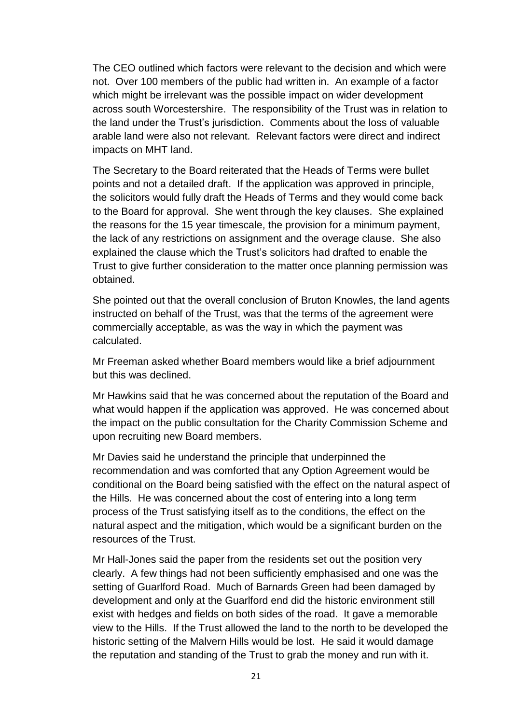The CEO outlined which factors were relevant to the decision and which were not. Over 100 members of the public had written in. An example of a factor which might be irrelevant was the possible impact on wider development across south Worcestershire. The responsibility of the Trust was in relation to the land under the Trust's jurisdiction. Comments about the loss of valuable arable land were also not relevant. Relevant factors were direct and indirect impacts on MHT land.

The Secretary to the Board reiterated that the Heads of Terms were bullet points and not a detailed draft. If the application was approved in principle, the solicitors would fully draft the Heads of Terms and they would come back to the Board for approval. She went through the key clauses. She explained the reasons for the 15 year timescale, the provision for a minimum payment, the lack of any restrictions on assignment and the overage clause. She also explained the clause which the Trust's solicitors had drafted to enable the Trust to give further consideration to the matter once planning permission was obtained.

She pointed out that the overall conclusion of Bruton Knowles, the land agents instructed on behalf of the Trust, was that the terms of the agreement were commercially acceptable, as was the way in which the payment was calculated.

Mr Freeman asked whether Board members would like a brief adjournment but this was declined.

Mr Hawkins said that he was concerned about the reputation of the Board and what would happen if the application was approved. He was concerned about the impact on the public consultation for the Charity Commission Scheme and upon recruiting new Board members.

Mr Davies said he understand the principle that underpinned the recommendation and was comforted that any Option Agreement would be conditional on the Board being satisfied with the effect on the natural aspect of the Hills. He was concerned about the cost of entering into a long term process of the Trust satisfying itself as to the conditions, the effect on the natural aspect and the mitigation, which would be a significant burden on the resources of the Trust.

Mr Hall-Jones said the paper from the residents set out the position very clearly. A few things had not been sufficiently emphasised and one was the setting of Guarlford Road. Much of Barnards Green had been damaged by development and only at the Guarlford end did the historic environment still exist with hedges and fields on both sides of the road. It gave a memorable view to the Hills. If the Trust allowed the land to the north to be developed the historic setting of the Malvern Hills would be lost. He said it would damage the reputation and standing of the Trust to grab the money and run with it.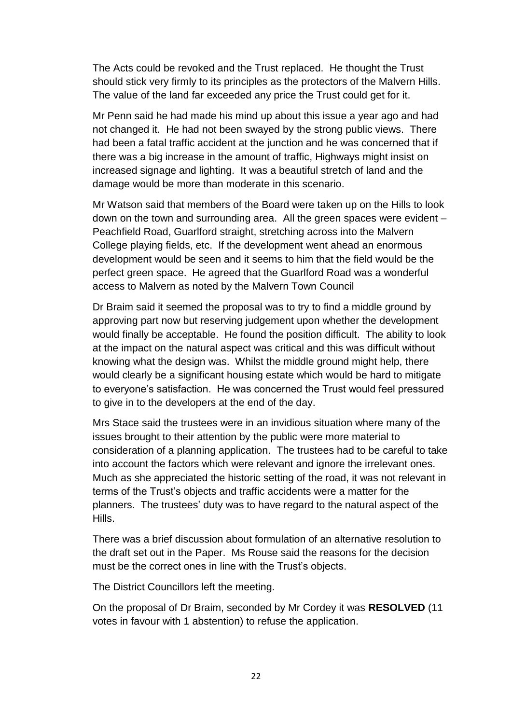The Acts could be revoked and the Trust replaced. He thought the Trust should stick very firmly to its principles as the protectors of the Malvern Hills. The value of the land far exceeded any price the Trust could get for it.

Mr Penn said he had made his mind up about this issue a year ago and had not changed it. He had not been swayed by the strong public views. There had been a fatal traffic accident at the junction and he was concerned that if there was a big increase in the amount of traffic, Highways might insist on increased signage and lighting. It was a beautiful stretch of land and the damage would be more than moderate in this scenario.

Mr Watson said that members of the Board were taken up on the Hills to look down on the town and surrounding area. All the green spaces were evident – Peachfield Road, Guarlford straight, stretching across into the Malvern College playing fields, etc. If the development went ahead an enormous development would be seen and it seems to him that the field would be the perfect green space. He agreed that the Guarlford Road was a wonderful access to Malvern as noted by the Malvern Town Council

Dr Braim said it seemed the proposal was to try to find a middle ground by approving part now but reserving judgement upon whether the development would finally be acceptable. He found the position difficult. The ability to look at the impact on the natural aspect was critical and this was difficult without knowing what the design was. Whilst the middle ground might help, there would clearly be a significant housing estate which would be hard to mitigate to everyone's satisfaction. He was concerned the Trust would feel pressured to give in to the developers at the end of the day.

Mrs Stace said the trustees were in an invidious situation where many of the issues brought to their attention by the public were more material to consideration of a planning application. The trustees had to be careful to take into account the factors which were relevant and ignore the irrelevant ones. Much as she appreciated the historic setting of the road, it was not relevant in terms of the Trust's objects and traffic accidents were a matter for the planners. The trustees' duty was to have regard to the natural aspect of the Hills.

There was a brief discussion about formulation of an alternative resolution to the draft set out in the Paper. Ms Rouse said the reasons for the decision must be the correct ones in line with the Trust's objects.

The District Councillors left the meeting.

On the proposal of Dr Braim, seconded by Mr Cordey it was **RESOLVED** (11 votes in favour with 1 abstention) to refuse the application.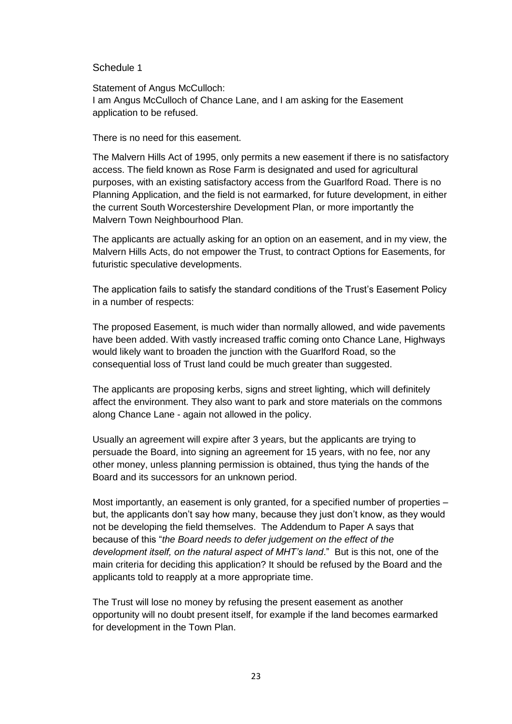#### Schedule 1

Statement of Angus McCulloch: I am Angus McCulloch of Chance Lane, and I am asking for the Easement application to be refused.

There is no need for this easement.

The Malvern Hills Act of 1995, only permits a new easement if there is no satisfactory access. The field known as Rose Farm is designated and used for agricultural purposes, with an existing satisfactory access from the Guarlford Road. There is no Planning Application, and the field is not earmarked, for future development, in either the current South Worcestershire Development Plan, or more importantly the Malvern Town Neighbourhood Plan.

The applicants are actually asking for an option on an easement, and in my view, the Malvern Hills Acts, do not empower the Trust, to contract Options for Easements, for futuristic speculative developments.

The application fails to satisfy the standard conditions of the Trust's Easement Policy in a number of respects:

The proposed Easement, is much wider than normally allowed, and wide pavements have been added. With vastly increased traffic coming onto Chance Lane, Highways would likely want to broaden the junction with the Guarlford Road, so the consequential loss of Trust land could be much greater than suggested.

The applicants are proposing kerbs, signs and street lighting, which will definitely affect the environment. They also want to park and store materials on the commons along Chance Lane - again not allowed in the policy.

Usually an agreement will expire after 3 years, but the applicants are trying to persuade the Board, into signing an agreement for 15 years, with no fee, nor any other money, unless planning permission is obtained, thus tying the hands of the Board and its successors for an unknown period.

Most importantly, an easement is only granted, for a specified number of properties – but, the applicants don't say how many, because they just don't know, as they would not be developing the field themselves. The Addendum to Paper A says that because of this "*the Board needs to defer judgement on the effect of the development itself, on the natural aspect of MHT's land*." But is this not, one of the main criteria for deciding this application? It should be refused by the Board and the applicants told to reapply at a more appropriate time.

The Trust will lose no money by refusing the present easement as another opportunity will no doubt present itself, for example if the land becomes earmarked for development in the Town Plan.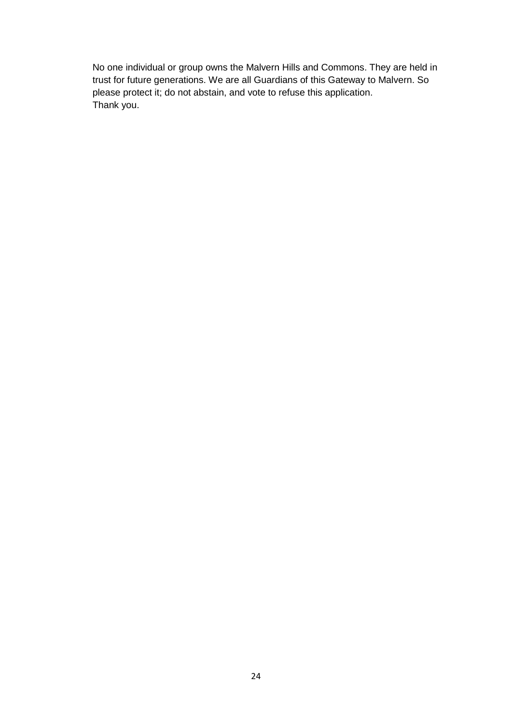No one individual or group owns the Malvern Hills and Commons. They are held in trust for future generations. We are all Guardians of this Gateway to Malvern. So please protect it; do not abstain, and vote to refuse this application. Thank you.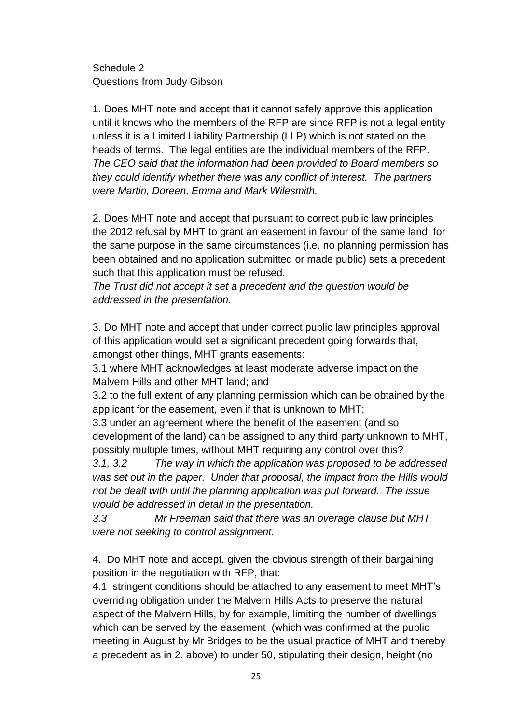Schedule 2 Questions from Judy Gibson

1. Does MHT note and accept that it cannot safely approve this application until it knows who the members of the RFP are since RFP is not a legal entity unless it is a Limited Liability Partnership (LLP) which is not stated on the heads of terms. The legal entities are the individual members of the RFP. *The CEO said that the information had been provided to Board members so they could identify whether there was any conflict of interest. The partners were Martin, Doreen, Emma and Mark Wilesmith.*

2. Does MHT note and accept that pursuant to correct public law principles the 2012 refusal by MHT to grant an easement in favour of the same land, for the same purpose in the same circumstances (i.e. no planning permission has been obtained and no application submitted or made public) sets a precedent such that this application must be refused.

*The Trust did not accept it set a precedent and the question would be addressed in the presentation.*

3. Do MHT note and accept that under correct public law principles approval of this application would set a significant precedent going forwards that, amongst other things, MHT grants easements:

3.1 where MHT acknowledges at least moderate adverse impact on the Malvern Hills and other MHT land; and

3.2 to the full extent of any planning permission which can be obtained by the applicant for the easement, even if that is unknown to MHT;

3.3 under an agreement where the benefit of the easement (and so development of the land) can be assigned to any third party unknown to MHT, possibly multiple times, without MHT requiring any control over this?

*3.1, 3.2 The way in which the application was proposed to be addressed was set out in the paper. Under that proposal, the impact from the Hills would not be dealt with until the planning application was put forward. The issue would be addressed in detail in the presentation.*

*3.3 Mr Freeman said that there was an overage clause but MHT were not seeking to control assignment.*

4. Do MHT note and accept, given the obvious strength of their bargaining position in the negotiation with RFP, that:

4.1 stringent conditions should be attached to any easement to meet MHT's overriding obligation under the Malvern Hills Acts to preserve the natural aspect of the Malvern Hills, by for example, limiting the number of dwellings which can be served by the easement (which was confirmed at the public meeting in August by Mr Bridges to be the usual practice of MHT and thereby a precedent as in 2. above) to under 50, stipulating their design, height (no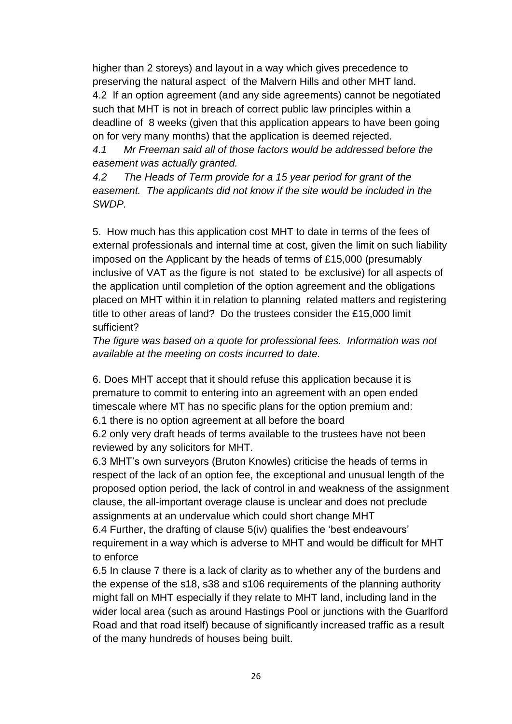higher than 2 storeys) and layout in a way which gives precedence to preserving the natural aspect of the Malvern Hills and other MHT land. 4.2 If an option agreement (and any side agreements) cannot be negotiated such that MHT is not in breach of correct public law principles within a deadline of 8 weeks (given that this application appears to have been going on for very many months) that the application is deemed rejected.

*4.1 Mr Freeman said all of those factors would be addressed before the easement was actually granted.*

*4.2 The Heads of Term provide for a 15 year period for grant of the easement. The applicants did not know if the site would be included in the SWDP.*

5. How much has this application cost MHT to date in terms of the fees of external professionals and internal time at cost, given the limit on such liability imposed on the Applicant by the heads of terms of £15,000 (presumably inclusive of VAT as the figure is not stated to be exclusive) for all aspects of the application until completion of the option agreement and the obligations placed on MHT within it in relation to planning related matters and registering title to other areas of land? Do the trustees consider the £15,000 limit sufficient?

*The figure was based on a quote for professional fees. Information was not available at the meeting on costs incurred to date.* 

6. Does MHT accept that it should refuse this application because it is premature to commit to entering into an agreement with an open ended timescale where MT has no specific plans for the option premium and: 6.1 there is no option agreement at all before the board

6.2 only very draft heads of terms available to the trustees have not been reviewed by any solicitors for MHT.

6.3 MHT's own surveyors (Bruton Knowles) criticise the heads of terms in respect of the lack of an option fee, the exceptional and unusual length of the proposed option period, the lack of control in and weakness of the assignment clause, the all-important overage clause is unclear and does not preclude assignments at an undervalue which could short change MHT

6.4 Further, the drafting of clause 5(iv) qualifies the 'best endeavours' requirement in a way which is adverse to MHT and would be difficult for MHT to enforce

6.5 In clause 7 there is a lack of clarity as to whether any of the burdens and the expense of the s18, s38 and s106 requirements of the planning authority might fall on MHT especially if they relate to MHT land, including land in the wider local area (such as around Hastings Pool or junctions with the Guarlford Road and that road itself) because of significantly increased traffic as a result of the many hundreds of houses being built.